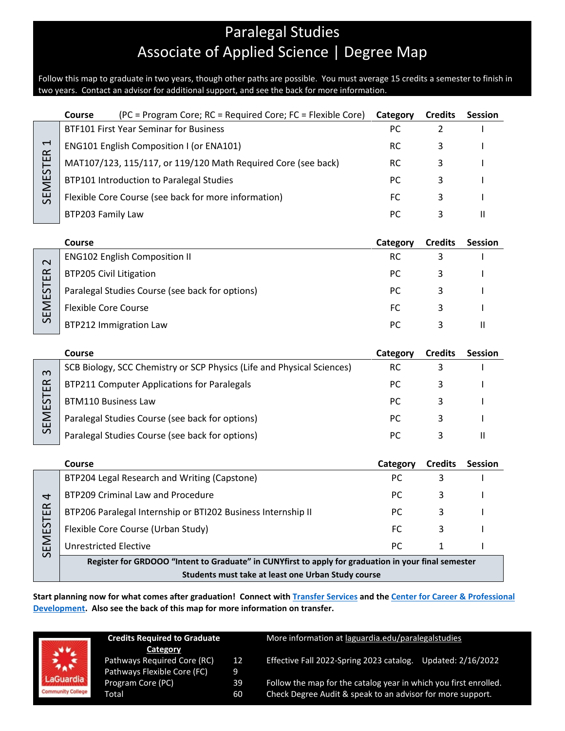# Paralegal Studies Associate of Applied Science | Degree Map

Follow this map to graduate in two years, though other paths are possible. You must average 15 credits a semester to finish in two years. Contact an advisor for additional support, and see the back for more information.

|                                             | <b>Course</b><br>(PC = Program Core; RC = Required Core; FC = Flexible Core)                                                                               | Category  | <b>Credits</b> | <b>Session</b> |
|---------------------------------------------|------------------------------------------------------------------------------------------------------------------------------------------------------------|-----------|----------------|----------------|
| $\overline{\phantom{0}}$<br><b>SEMESTER</b> | <b>BTF101 First Year Seminar for Business</b>                                                                                                              | <b>PC</b> | 2              |                |
|                                             | <b>ENG101 English Composition I (or ENA101)</b>                                                                                                            | RC.       | 3              |                |
|                                             | MAT107/123, 115/117, or 119/120 Math Required Core (see back)                                                                                              | <b>RC</b> | 3              |                |
|                                             | BTP101 Introduction to Paralegal Studies                                                                                                                   | PC.       | 3              |                |
|                                             | Flexible Core Course (see back for more information)                                                                                                       | <b>FC</b> | 3              |                |
|                                             | BTP203 Family Law                                                                                                                                          | PC        | 3              | $\mathbf{H}$   |
|                                             |                                                                                                                                                            |           |                |                |
|                                             | Course                                                                                                                                                     | Category  | <b>Credits</b> | <b>Session</b> |
| $\mathbf{\sim}$<br>SEMESTER                 | <b>ENG102 English Composition II</b>                                                                                                                       | <b>RC</b> | 3              |                |
|                                             | <b>BTP205 Civil Litigation</b>                                                                                                                             | PC        | 3              |                |
|                                             | Paralegal Studies Course (see back for options)                                                                                                            | PC.       | 3              |                |
|                                             | <b>Flexible Core Course</b>                                                                                                                                | FC        | 3              |                |
|                                             | <b>BTP212 Immigration Law</b>                                                                                                                              | PC        | 3              | $\mathbf{II}$  |
|                                             |                                                                                                                                                            |           |                |                |
|                                             |                                                                                                                                                            |           |                |                |
|                                             | Course                                                                                                                                                     | Category  | <b>Credits</b> | <b>Session</b> |
|                                             | SCB Biology, SCC Chemistry or SCP Physics (Life and Physical Sciences)                                                                                     | <b>RC</b> | 3              |                |
|                                             | <b>BTP211 Computer Applications for Paralegals</b>                                                                                                         | PC.       | 3              |                |
| m                                           | <b>BTM110 Business Law</b>                                                                                                                                 | <b>PC</b> | 3              |                |
|                                             | Paralegal Studies Course (see back for options)                                                                                                            | PC.       | 3              |                |
| SEMESTER                                    | Paralegal Studies Course (see back for options)                                                                                                            | PC.       | 3              | $\mathbf{H}$   |
|                                             |                                                                                                                                                            |           |                |                |
|                                             | <b>Course</b>                                                                                                                                              | Category  | <b>Credits</b> | <b>Session</b> |
|                                             | BTP204 Legal Research and Writing (Capstone)                                                                                                               | <b>PC</b> | 3              |                |
|                                             | BTP209 Criminal Law and Procedure                                                                                                                          | PC.       | 3              |                |
| 4                                           | BTP206 Paralegal Internship or BTI202 Business Internship II                                                                                               | PC        | 3              |                |
|                                             | Flexible Core Course (Urban Study)                                                                                                                         | FC.       | 3              |                |
|                                             | <b>Unrestricted Elective</b>                                                                                                                               | PC.       | 1              |                |
| SEMESTER                                    | Register for GRDOOO "Intent to Graduate" in CUNYfirst to apply for graduation in your final semester<br>Students must take at least one Urban Study course |           |                |                |

**Start planning now for what comes after graduation! Connect with [Transfer Services](https://www.laguardia.edu/transferservices/) and the [Center for Career & Professional](https://www.laguardia.edu/careerservices/)  [Development.](https://www.laguardia.edu/careerservices/) Also see the back of this map for more information on transfer.**



| <b>Credits Required to Graduate</b> |    |  |  |  |
|-------------------------------------|----|--|--|--|
| Category                            |    |  |  |  |
| Pathways Required Core (RC)         | 12 |  |  |  |
| Pathways Flexible Core (FC)         | 9  |  |  |  |
| Program Core (PC)                   | 39 |  |  |  |
| Total                               | 60 |  |  |  |

More information at [laguardia.edu/paralegalstudies](https://cuny907-my.sharepoint.com/personal/joshua_goldblatt12_login_cuny_edu/Documents/Degree%20Maps%20&%20Curriculum/BAT/laguardia.edu/paralegalstudies)

Effective Fall 2022-Spring 2023 catalog. Updated: 2/16/2022

Follow the map for the catalog year in which you first enrolled. Check Degree Audit & speak to an advisor for more support.